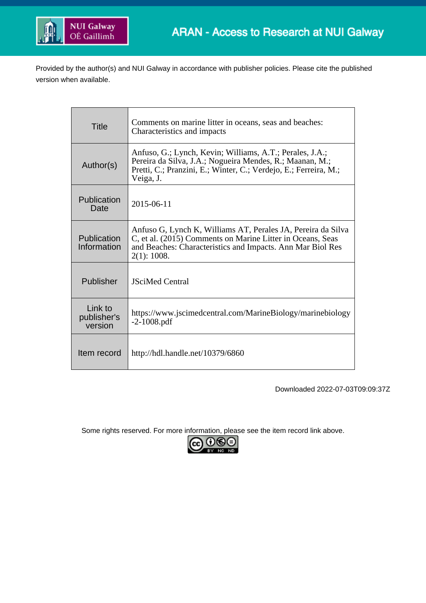

Provided by the author(s) and NUI Galway in accordance with publisher policies. Please cite the published version when available.

| <b>Title</b>                      | Comments on marine litter in oceans, seas and beaches:<br>Characteristics and impacts                                                                                                                   |
|-----------------------------------|---------------------------------------------------------------------------------------------------------------------------------------------------------------------------------------------------------|
| Author(s)                         | Anfuso, G.; Lynch, Kevin; Williams, A.T.; Perales, J.A.;<br>Pereira da Silva, J.A.; Nogueira Mendes, R.; Maanan, M.;<br>Pretti, C.; Pranzini, E.; Winter, C.; Verdejo, E.; Ferreira, M.;<br>Veiga, J.   |
| Publication<br>Date               | 2015-06-11                                                                                                                                                                                              |
| Publication<br>Information        | Anfuso G, Lynch K, Williams AT, Perales JA, Pereira da Silva<br>C, et al. (2015) Comments on Marine Litter in Oceans, Seas<br>and Beaches: Characteristics and Impacts. Ann Mar Biol Res<br>2(1): 1008. |
| Publisher                         | <b>JSciMed Central</b>                                                                                                                                                                                  |
| Link to<br>publisher's<br>version | https://www.jscimedcentral.com/MarineBiology/marinebiology<br>$-2 - 1008$ .pdf                                                                                                                          |
| Item record                       | http://hdl.handle.net/10379/6860                                                                                                                                                                        |

Downloaded 2022-07-03T09:09:37Z

Some rights reserved. For more information, please see the item record link above.

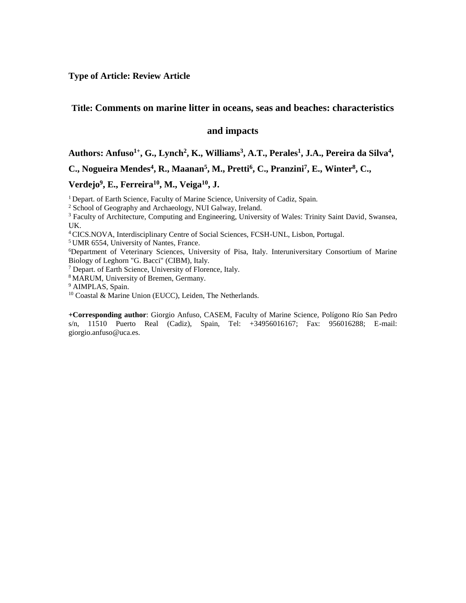**Type of Article: Review Article**

# **Title: Comments on marine litter in oceans, seas and beaches: characteristics**

## **and impacts**

### **Authors: Anfuso1+, G., Lynch<sup>2</sup> , K., Williams<sup>3</sup> , A.T., Perales<sup>1</sup> , J.A., Pereira da Silva<sup>4</sup> ,**

**C., Nogueira Mendes<sup>4</sup>, R., Maanan<sup>5</sup>, M., Pretti<sup>6</sup>, C., Pranzini<sup>7</sup>, E., Winter<sup>8</sup>, C.,** 

### **Verdejo<sup>9</sup> , E., Ferreira<sup>10</sup>, M., Veiga<sup>10</sup>, J.**

<sup>1</sup> Depart. of Earth Science, Faculty of Marine Science, University of Cadiz, Spain.

<sup>2</sup> School of Geography and Archaeology, NUI Galway, Ireland.

<sup>3</sup> Faculty of Architecture, Computing and Engineering, University of Wales: Trinity Saint David, Swansea, UK.

<sup>4</sup>CICS.NOVA, Interdisciplinary Centre of Social Sciences, FCSH-UNL, Lisbon, Portugal.

<sup>5</sup>UMR 6554, University of Nantes, France.

<sup>6</sup>Department of Veterinary Sciences, University of Pisa, Italy. Interuniversitary Consortium of Marine Biology of Leghorn "G. Bacci" (CIBM), Italy.

<sup>7</sup> Depart. of Earth Science, University of Florence, Italy.

<sup>8</sup>MARUM, University of Bremen, Germany.

<sup>9</sup> AIMPLAS, Spain.

<sup>10</sup> Coastal & Marine Union (EUCC), Leiden, The Netherlands.

**+Corresponding author**: Giorgio Anfuso, CASEM, Faculty of Marine Science, Polígono Río San Pedro s/n, 11510 Puerto Real (Cadiz), Spain, Tel: +34956016167; Fax: 956016288; E-mail: giorgio.anfuso@uca.es.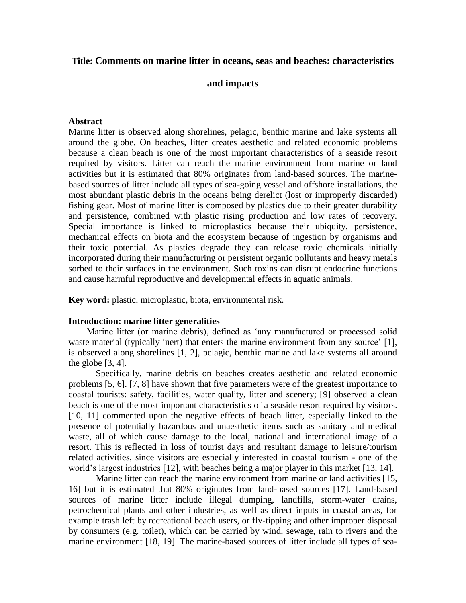# **Title: Comments on marine litter in oceans, seas and beaches: characteristics**

## **and impacts**

### **Abstract**

Marine litter is observed along shorelines, pelagic, benthic marine and lake systems all around the globe. On beaches, litter creates aesthetic and related economic problems because a clean beach is one of the most important characteristics of a seaside resort required by visitors. Litter can reach the marine environment from marine or land activities but it is estimated that 80% originates from land-based sources. The marinebased sources of litter include all types of sea-going vessel and offshore installations, the most abundant plastic debris in the oceans being derelict (lost or improperly discarded) fishing gear. Most of marine litter is composed by plastics due to their greater durability and persistence, combined with plastic rising production and low rates of recovery. Special importance is linked to microplastics because their ubiquity, persistence, mechanical effects on biota and the ecosystem because of ingestion by organisms and their toxic potential. As plastics degrade they can release toxic chemicals initially incorporated during their manufacturing or persistent organic pollutants and heavy metals sorbed to their surfaces in the environment. Such toxins can disrupt endocrine functions and cause harmful reproductive and developmental effects in aquatic animals.

**Key word:** plastic, microplastic, biota, environmental risk.

#### **Introduction: marine litter generalities**

 Marine litter (or marine debris), defined as 'any manufactured or processed solid waste material (typically inert) that enters the marine environment from any source' [1], is observed along shorelines [1, 2], pelagic, benthic marine and lake systems all around the globe [3, 4].

Specifically, marine debris on beaches creates aesthetic and related economic problems [5, 6]. [7, 8] have shown that five parameters were of the greatest importance to coastal tourists: safety, facilities, water quality, litter and scenery; [9] observed a clean beach is one of the most important characteristics of a seaside resort required by visitors. [10, 11] commented upon the negative effects of beach litter, especially linked to the presence of potentially hazardous and unaesthetic items such as sanitary and medical waste, all of which cause damage to the local, national and international image of a resort. This is reflected in loss of tourist days and resultant damage to leisure/tourism related activities, since visitors are especially interested in coastal tourism - one of the world's largest industries [12], with beaches being a major player in this market [13, 14].

Marine litter can reach the marine environment from marine or land activities [15, 16] but it is estimated that 80% originates from land-based sources [17]. Land-based sources of marine litter include illegal dumping, landfills, storm-water drains, petrochemical plants and other industries, as well as direct inputs in coastal areas, for example trash left by recreational beach users, or fly-tipping and other improper disposal by consumers (e.g. toilet), which can be carried by wind, sewage, rain to rivers and the marine environment [18, 19]. The marine-based sources of litter include all types of sea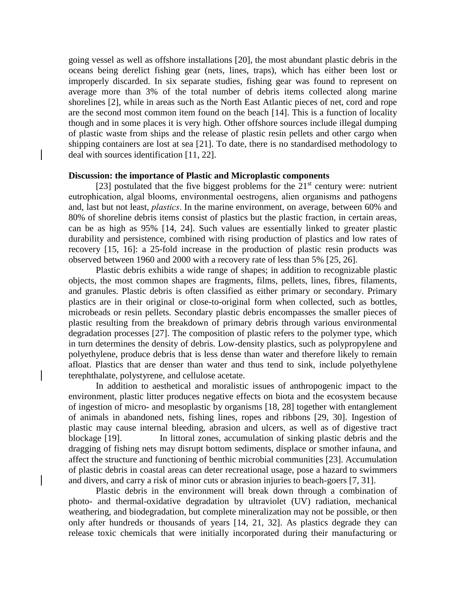going vessel as well as offshore installations [20], the most abundant plastic debris in the oceans being derelict fishing gear (nets, lines, traps), which has either been lost or improperly discarded. In six separate studies, fishing gear was found to represent on average more than 3% of the total number of debris items collected along marine shorelines [2], while in areas such as the North East Atlantic pieces of net, cord and rope are the second most common item found on the beach [14]. This is a function of locality though and in some places it is very high. Other offshore sources include illegal dumping of plastic waste from ships and the release of plastic resin pellets and other cargo when shipping containers are lost at sea [21]. To date, there is no standardised methodology to deal with sources identification [11, 22].

## **Discussion: the importance of Plastic and Microplastic components**

[23] postulated that the five biggest problems for the  $21<sup>st</sup>$  century were: nutrient eutrophication, algal blooms, environmental oestrogens, alien organisms and pathogens and, last but not least, *plastics*. In the marine environment, on average, between 60% and 80% of shoreline debris items consist of plastics but the plastic fraction, in certain areas, can be as high as 95% [14, 24]. Such values are essentially linked to greater plastic durability and persistence, combined with rising production of plastics and low rates of recovery [15, 16]: a 25-fold increase in the production of plastic resin products was observed between 1960 and 2000 with a recovery rate of less than 5% [25, 26].

Plastic debris exhibits a wide range of shapes; in addition to recognizable plastic objects, the most common shapes are fragments, films, pellets, lines, fibres, filaments, and granules. Plastic debris is often classified as either primary or secondary. Primary plastics are in their original or close-to-original form when collected, such as bottles, microbeads or resin pellets. Secondary plastic debris encompasses the smaller pieces of plastic resulting from the breakdown of primary debris through various environmental degradation processes [27]. The composition of plastic refers to the polymer type, which in turn determines the density of debris. Low-density plastics, such as polypropylene and polyethylene, produce debris that is less dense than water and therefore likely to remain afloat. Plastics that are denser than water and thus tend to sink, include polyethylene terephthalate, polystyrene, and cellulose acetate.

In addition to aesthetical and moralistic issues of anthropogenic impact to the environment, plastic litter produces negative effects on biota and the ecosystem because of ingestion of micro- and mesoplastic by organisms [18, 28] together with entanglement of animals in abandoned nets, fishing lines, ropes and ribbons [29, 30]. Ingestion of plastic may cause internal bleeding, abrasion and ulcers, as well as of digestive tract blockage [19]. In littoral zones, accumulation of sinking plastic debris and the dragging of fishing nets may disrupt bottom sediments, displace or smother infauna, and affect the structure and functioning of benthic microbial communities [23]. Accumulation of plastic debris in coastal areas can deter recreational usage, pose a hazard to swimmers and divers, and carry a risk of minor cuts or abrasion injuries to beach-goers [7, 31].

Plastic debris in the environment will break down through a combination of photo- and thermal-oxidative degradation by ultraviolet (UV) radiation, mechanical weathering, and biodegradation, but complete mineralization may not be possible, or then only after hundreds or thousands of years [14, 21, 32]. As plastics degrade they can release toxic chemicals that were initially incorporated during their manufacturing or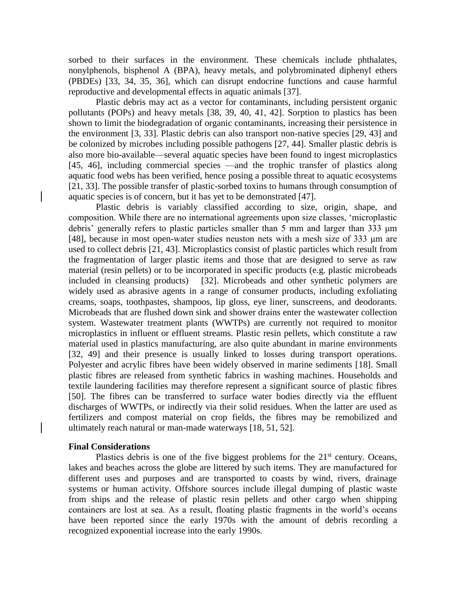sorbed to their surfaces in the environment. These chemicals include phthalates, nonylphenols, bisphenol A (BPA), heavy metals, and polybrominated diphenyl ethers (PBDEs) [33, 34, 35, 36], which can disrupt endocrine functions and cause harmful reproductive and developmental effects in aquatic animals [37].

Plastic debris may act as a vector for contaminants, including persistent organic pollutants (POPs) and heavy metals [38, 39, 40, 41, 42]. Sorption to plastics has been shown to limit the biodegradation of organic contaminants, increasing their persistence in the environment [3, 33]. Plastic debris can also transport non-native species [29, 43] and be colonized by microbes including possible pathogens [27, 44]. Smaller plastic debris is also more bio-available—several aquatic species have been found to ingest microplastics [45, 46], including commercial species —and the trophic transfer of plastics along aquatic food webs has been verified, hence posing a possible threat to aquatic ecosystems [21, 33]. The possible transfer of plastic-sorbed toxins to humans through consumption of aquatic species is of concern, but it has yet to be demonstrated [47].

Plastic debris is variably classified according to size, origin, shape, and composition. While there are no international agreements upon size classes, 'microplastic debris' generally refers to plastic particles smaller than 5 mm and larger than 333 μm [48], because in most open-water studies neuston nets with a mesh size of 333 μm are used to collect debris [21, 43]. Microplastics consist of plastic particles which result from the fragmentation of larger plastic items and those that are designed to serve as raw material (resin pellets) or to be incorporated in specific products (e.g. plastic microbeads included in cleansing products) [32]. Microbeads and other synthetic polymers are widely used as abrasive agents in a range of consumer products, including exfoliating creams, soaps, toothpastes, shampoos, lip gloss, eye liner, sunscreens, and deodorants. Microbeads that are flushed down sink and shower drains enter the wastewater collection system. Wastewater treatment plants (WWTPs) are currently not required to monitor microplastics in influent or effluent streams. Plastic resin pellets, which constitute a raw material used in plastics manufacturing, are also quite abundant in marine environments [32, 49] and their presence is usually linked to losses during transport operations. Polyester and acrylic fibres have been widely observed in marine sediments [18]. Small plastic fibres are released from synthetic fabrics in washing machines. Households and textile laundering facilities may therefore represent a significant source of plastic fibres [50]. The fibres can be transferred to surface water bodies directly via the effluent discharges of WWTPs, or indirectly via their solid residues. When the latter are used as fertilizers and compost material on crop fields, the fibres may be remobilized and ultimately reach natural or man-made waterways [18, 51, 52].

### **Final Considerations**

Plastics debris is one of the five biggest problems for the  $21<sup>st</sup>$  century. Oceans, lakes and beaches across the globe are littered by such items. They are manufactured for different uses and purposes and are transported to coasts by wind, rivers, drainage systems or human activity. Offshore sources include illegal dumping of plastic waste from ships and the release of plastic resin pellets and other cargo when shipping containers are lost at sea. As a result, floating plastic fragments in the world's oceans have been reported since the early 1970s with the amount of debris recording a recognized exponential increase into the early 1990s.